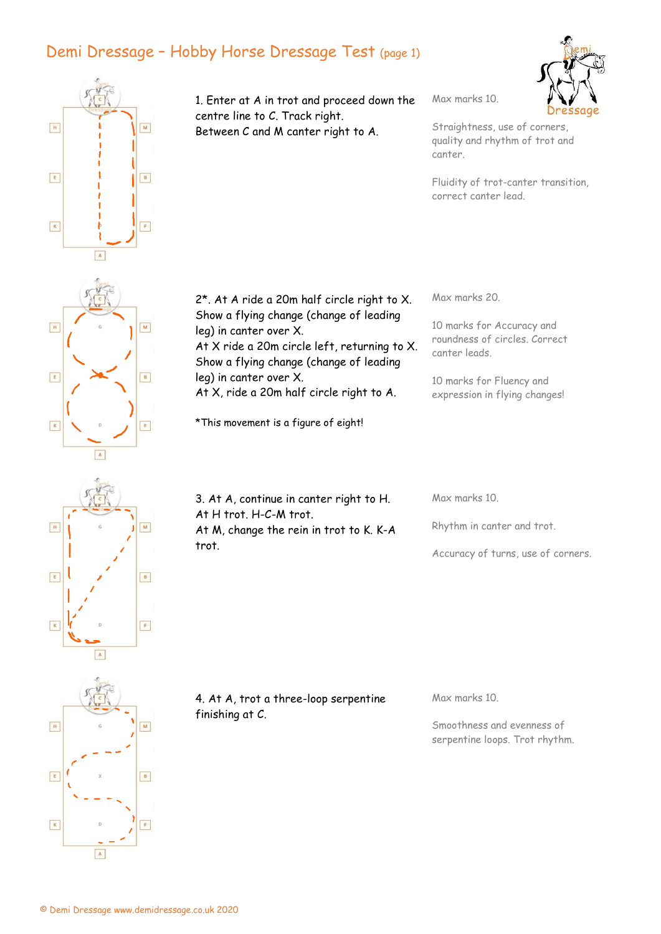## Demi Dressage – Hobby Horse Dressage Test (page 1)



1. Enter at A in trot and proceed down the centre line to C. Track right. Between C and M canter right to A.

Max marks 10.



Straightness, use of corners, quality and rhythm of trot and canter.

Fluidity of trot-canter transition, correct canter lead.

2\*. At A ride a 20m half circle right to X. Show a flying change (change of leading leg) in canter over X. At X ride a 20m circle left, returning to X. Show a flying change (change of leading leg) in canter over X. At X, ride a 20m half circle right to A.

\*This movement is a figure of eight!

roundness of circles. Correct canter leads.

Max marks 20.

10 marks for Fluency and expression in flying changes!

10 marks for Accuracy and



 $\boxed{\mathbf{A}}$ 

3. At A, continue in canter right to H. At H trot. H-C-M trot. At M, change the rein in trot to K. K-A trot.

Max marks 10.

Rhythm in canter and trot.

Accuracy of turns, use of corners.



4. At A, trot a three-loop serpentine finishing at C.

Max marks 10.

Smoothness and evenness of serpentine loops. Trot rhythm.

 $\boxed{B}$  $E$  $F$  $\mathbf{K}$